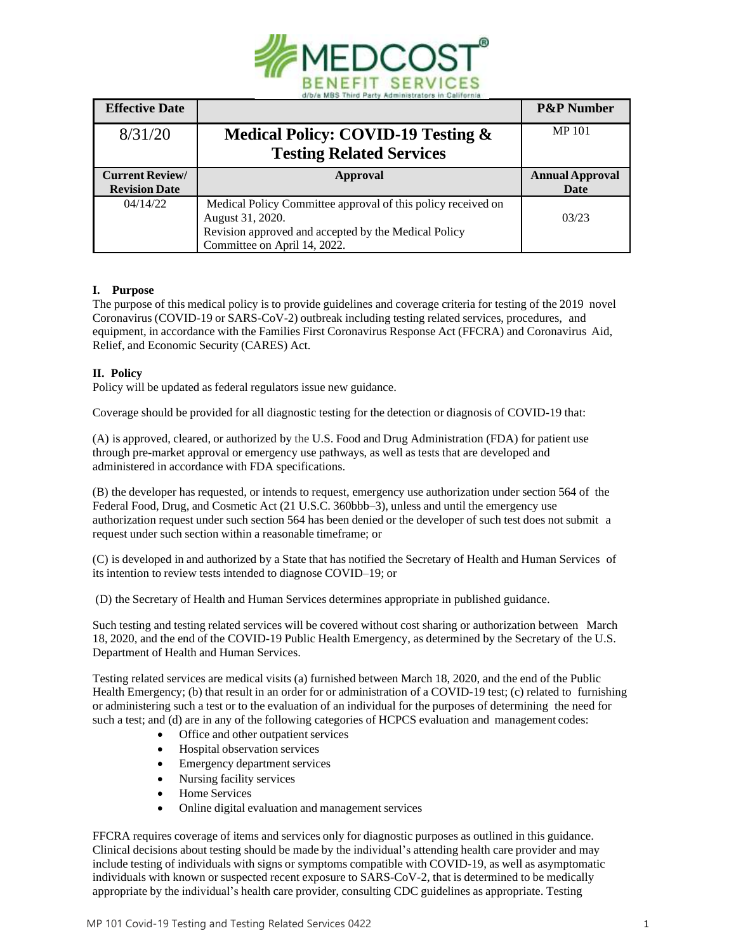

| <b>Effective Date</b>  |                                                              | <b>P&amp;P Number</b>  |
|------------------------|--------------------------------------------------------------|------------------------|
| 8/31/20                | Medical Policy: COVID-19 Testing &                           | <b>MP101</b>           |
|                        | <b>Testing Related Services</b>                              |                        |
| <b>Current Review/</b> | Approval                                                     | <b>Annual Approval</b> |
| <b>Revision Date</b>   |                                                              | Date                   |
| 04/14/22               | Medical Policy Committee approval of this policy received on |                        |
|                        | August 31, 2020.                                             | 03/23                  |
|                        |                                                              |                        |
|                        | Revision approved and accepted by the Medical Policy         |                        |

## **I. Purpose**

The purpose of this medical policy is to provide guidelines and coverage criteria for testing of the 2019 novel Coronavirus (COVID-19 or SARS-CoV-2) outbreak including testing related services, procedures, and equipment, in accordance with the Families First Coronavirus Response Act (FFCRA) and Coronavirus Aid, Relief, and Economic Security (CARES) Act.

# **II. Policy**

Policy will be updated as federal regulators issue new guidance.

Coverage should be provided for all diagnostic testing for the detection or diagnosis of COVID-19 that:

(A) is approved, cleared, or authorized by the U.S. Food and Drug Administration (FDA) for patient use through pre-market approval or emergency use pathways, as well as tests that are developed and administered in accordance with FDA specifications.

(B) the developer has requested, or intends to request, emergency use authorization under section 564 of the Federal Food, Drug, and Cosmetic Act (21 U.S.C. 360bbb–3), unless and until the emergency use authorization request under such section 564 has been denied or the developer of such test does not submit a request under such section within a reasonable timeframe; or

(C) is developed in and authorized by a State that has notified the Secretary of Health and Human Services of its intention to review tests intended to diagnose COVID–19; or

(D) the Secretary of Health and Human Services determines appropriate in published guidance.

Such testing and testing related services will be covered without cost sharing or authorization between March 18, 2020, and the end of the COVID-19 Public Health Emergency, as determined by the Secretary of the U.S. Department of Health and Human Services.

Testing related services are medical visits (a) furnished between March 18, 2020, and the end of the Public Health Emergency; (b) that result in an order for or administration of a COVID-19 test; (c) related to furnishing or administering such a test or to the evaluation of an individual for the purposes of determining the need for such a test; and (d) are in any of the following categories of HCPCS evaluation and management codes:

- Office and other outpatient services
- Hospital observation services
- Emergency department services
- Nursing facility services
- Home Services
- Online digital evaluation and management services

FFCRA requires coverage of items and services only for diagnostic purposes as outlined in this guidance. Clinical decisions about testing should be made by the individual's attending health care provider and may include testing of individuals with signs or symptoms compatible with COVID-19, as well as asymptomatic individuals with known or suspected recent exposure to SARS-CoV-2, that is determined to be medically appropriate by the individual's health care provider, consulting CDC guidelines as appropriate. Testing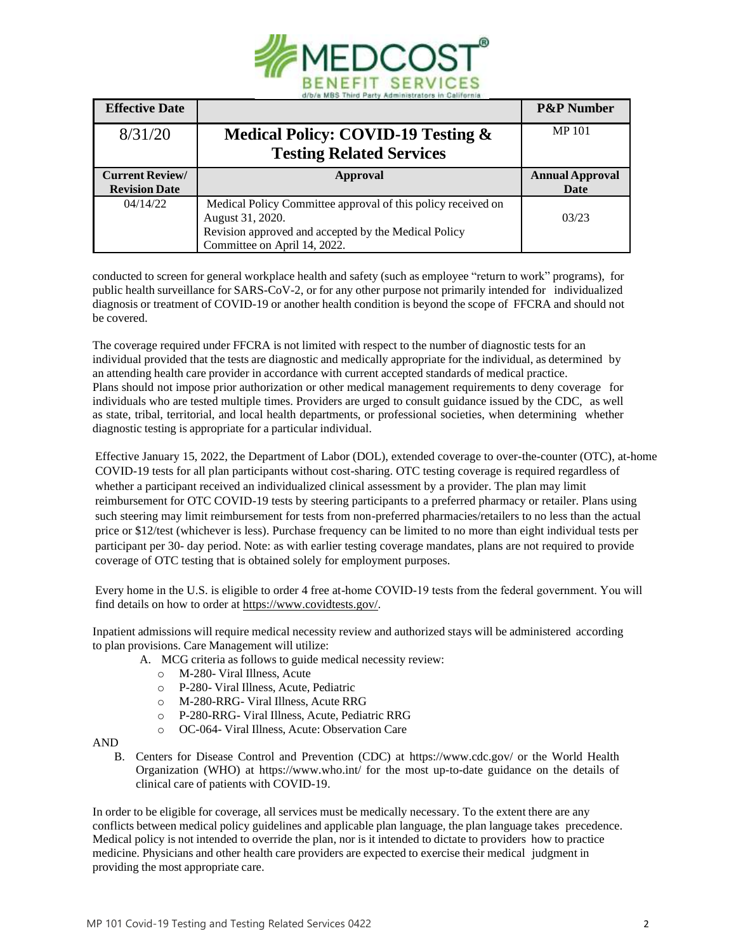

| <b>Effective Date</b>  |                                                              | <b>P&amp;P</b> Number  |
|------------------------|--------------------------------------------------------------|------------------------|
| 8/31/20                | Medical Policy: COVID-19 Testing &                           | <b>MP101</b>           |
|                        | <b>Testing Related Services</b>                              |                        |
| <b>Current Review/</b> | Approval                                                     | <b>Annual Approval</b> |
| <b>Revision Date</b>   |                                                              | Date                   |
| 04/14/22               | Medical Policy Committee approval of this policy received on |                        |
|                        | August 31, 2020.                                             | 03/23                  |
|                        | Revision approved and accepted by the Medical Policy         |                        |
|                        | Committee on April 14, 2022.                                 |                        |

conducted to screen for general workplace health and safety (such as employee "return to work" programs), for public health surveillance for SARS-CoV-2, or for any other purpose not primarily intended for individualized diagnosis or treatment of COVID-19 or another health condition is beyond the scope of FFCRA and should not be covered.

The coverage required under FFCRA is not limited with respect to the number of diagnostic tests for an individual provided that the tests are diagnostic and medically appropriate for the individual, as determined by an attending health care provider in accordance with current accepted standards of medical practice. Plans should not impose prior authorization or other medical management requirements to deny coverage for individuals who are tested multiple times. Providers are urged to consult guidance issued by the CDC, as well as state, tribal, territorial, and local health departments, or professional societies, when determining whether diagnostic testing is appropriate for a particular individual.

Effective January 15, 2022, the Department of Labor (DOL), extended coverage to over-the-counter (OTC), at-home COVID-19 tests for all plan participants without cost-sharing. OTC testing coverage is required regardless of whether a participant received an individualized clinical assessment by a provider. The plan may limit reimbursement for OTC COVID-19 tests by steering participants to a preferred pharmacy or retailer. Plans using such steering may limit reimbursement for tests from non-preferred pharmacies/retailers to no less than the actual price or \$12/test (whichever is less). Purchase frequency can be limited to no more than eight individual tests per participant per 30- day period. Note: as with earlier testing coverage mandates, plans are not required to provide coverage of OTC testing that is obtained solely for employment purposes.

Every home in the U.S. is eligible to order 4 free at-home COVID-19 tests from the federal government. You will find details on how to order at [https://www.covidtests.gov/.](https://www.covidtests.gov/) 

Inpatient admissions will require medical necessity review and authorized stays will be administered according to plan provisions. Care Management will utilize:

- A. MCG criteria as follows to guide medical necessity review:
	- o M-280- Viral Illness, Acute
	- o P-280- Viral Illness, Acute, Pediatric
	- o M-280-RRG- Viral Illness, Acute RRG
	- o P-280-RRG- Viral Illness, Acute, Pediatric RRG
	- o OC-064- Viral Illness, Acute: Observation Care

AND

B. Centers for Disease Control and Prevention (CDC) at http[s://www.cdc.gov/](http://www.cdc.gov/) or the World Health Organization (WHO) at http[s://www.w](http://www.who.int/)h[o.int/](http://www.who.int/) for the most up-to-date guidance on the details of clinical care of patients with COVID-19.

In order to be eligible for coverage, all services must be medically necessary. To the extent there are any conflicts between medical policy guidelines and applicable plan language, the plan language takes precedence. Medical policy is not intended to override the plan, nor is it intended to dictate to providers how to practice medicine. Physicians and other health care providers are expected to exercise their medical judgment in providing the most appropriate care.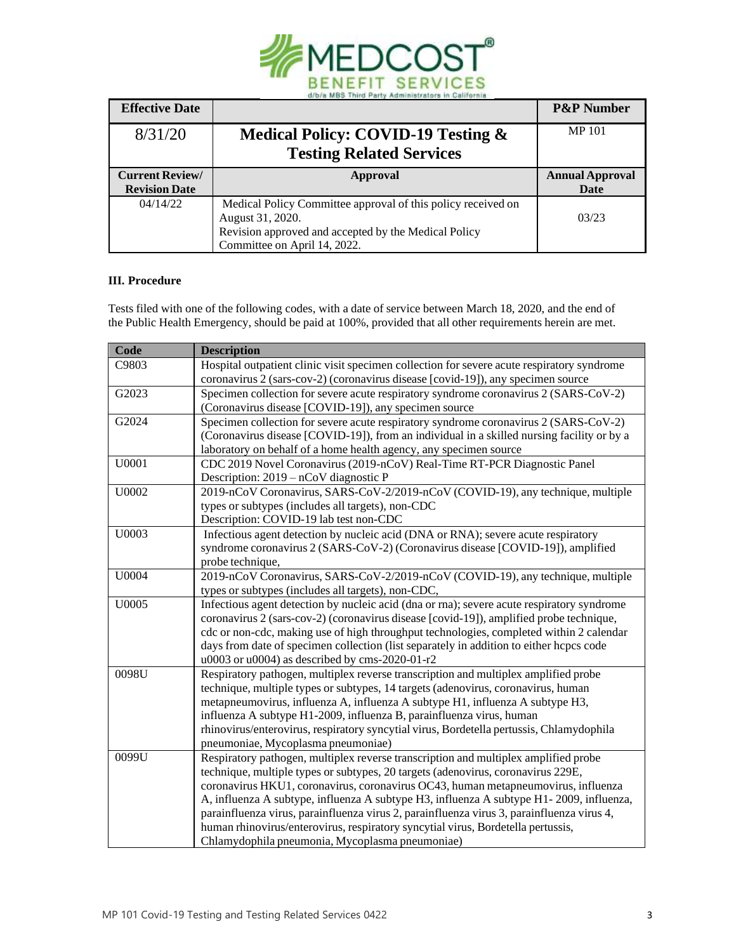

| <b>Effective Date</b>  |                                                              | <b>P&amp;P</b> Number  |
|------------------------|--------------------------------------------------------------|------------------------|
| 8/31/20                | Medical Policy: COVID-19 Testing &                           | <b>MP101</b>           |
|                        | <b>Testing Related Services</b>                              |                        |
| <b>Current Review/</b> | Approval                                                     | <b>Annual Approval</b> |
| <b>Revision Date</b>   |                                                              | Date                   |
| 04/14/22               | Medical Policy Committee approval of this policy received on |                        |
|                        | August 31, 2020.                                             | 03/23                  |
|                        | Revision approved and accepted by the Medical Policy         |                        |
|                        | Committee on April 14, 2022.                                 |                        |

# **III. Procedure**

Tests filed with one of the following codes, with a date of service between March 18, 2020, and the end of the Public Health Emergency, should be paid at 100%, provided that all other requirements herein are met.

| Code  | <b>Description</b>                                                                                                                                                             |
|-------|--------------------------------------------------------------------------------------------------------------------------------------------------------------------------------|
| C9803 | Hospital outpatient clinic visit specimen collection for severe acute respiratory syndrome<br>coronavirus 2 (sars-cov-2) (coronavirus disease [covid-19]), any specimen source |
| G2023 | Specimen collection for severe acute respiratory syndrome coronavirus 2 (SARS-CoV-2)                                                                                           |
|       | (Coronavirus disease [COVID-19]), any specimen source                                                                                                                          |
| G2024 | Specimen collection for severe acute respiratory syndrome coronavirus 2 (SARS-CoV-2)                                                                                           |
|       | (Coronavirus disease [COVID-19]), from an individual in a skilled nursing facility or by a                                                                                     |
|       | laboratory on behalf of a home health agency, any specimen source                                                                                                              |
| U0001 | CDC 2019 Novel Coronavirus (2019-nCoV) Real-Time RT-PCR Diagnostic Panel                                                                                                       |
|       | Description: $2019 - nCoV$ diagnostic P                                                                                                                                        |
| U0002 | 2019-nCoV Coronavirus, SARS-CoV-2/2019-nCoV (COVID-19), any technique, multiple                                                                                                |
|       | types or subtypes (includes all targets), non-CDC                                                                                                                              |
|       | Description: COVID-19 lab test non-CDC                                                                                                                                         |
| U0003 | Infectious agent detection by nucleic acid (DNA or RNA); severe acute respiratory                                                                                              |
|       | syndrome coronavirus 2 (SARS-CoV-2) (Coronavirus disease [COVID-19]), amplified                                                                                                |
|       | probe technique,                                                                                                                                                               |
| U0004 | 2019-nCoV Coronavirus, SARS-CoV-2/2019-nCoV (COVID-19), any technique, multiple                                                                                                |
|       | types or subtypes (includes all targets), non-CDC,                                                                                                                             |
| U0005 | Infectious agent detection by nucleic acid (dna or rna); severe acute respiratory syndrome                                                                                     |
|       | coronavirus 2 (sars-cov-2) (coronavirus disease [covid-19]), amplified probe technique,                                                                                        |
|       | cdc or non-cdc, making use of high throughput technologies, completed within 2 calendar                                                                                        |
|       | days from date of specimen collection (list separately in addition to either hcpcs code                                                                                        |
|       | u0003 or u0004) as described by cms-2020-01-r2                                                                                                                                 |
| 0098U | Respiratory pathogen, multiplex reverse transcription and multiplex amplified probe                                                                                            |
|       | technique, multiple types or subtypes, 14 targets (adenovirus, coronavirus, human                                                                                              |
|       | metapneumovirus, influenza A, influenza A subtype H1, influenza A subtype H3,                                                                                                  |
|       | influenza A subtype H1-2009, influenza B, parainfluenza virus, human                                                                                                           |
|       | rhinovirus/enterovirus, respiratory syncytial virus, Bordetella pertussis, Chlamydophila                                                                                       |
|       | pneumoniae, Mycoplasma pneumoniae)                                                                                                                                             |
| 0099U | Respiratory pathogen, multiplex reverse transcription and multiplex amplified probe                                                                                            |
|       | technique, multiple types or subtypes, 20 targets (adenovirus, coronavirus 229E,                                                                                               |
|       | coronavirus HKU1, coronavirus, coronavirus OC43, human metapneumovirus, influenza                                                                                              |
|       | A, influenza A subtype, influenza A subtype H3, influenza A subtype H1-2009, influenza,                                                                                        |
|       | parainfluenza virus, parainfluenza virus 2, parainfluenza virus 3, parainfluenza virus 4,                                                                                      |
|       | human rhinovirus/enterovirus, respiratory syncytial virus, Bordetella pertussis,                                                                                               |
|       | Chlamydophila pneumonia, Mycoplasma pneumoniae)                                                                                                                                |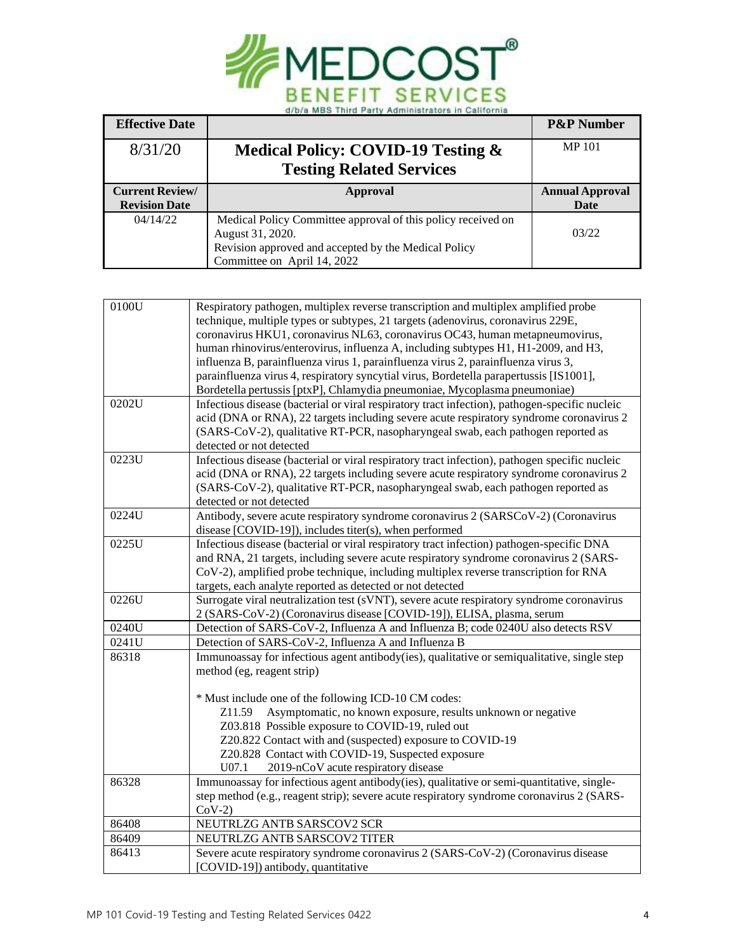

| <b>Effective Date</b>  |                                                              | <b>P&amp;P Number</b>  |
|------------------------|--------------------------------------------------------------|------------------------|
| 8/31/20                | <b>Medical Policy: COVID-19 Testing &amp;</b>                | <b>MP101</b>           |
|                        | <b>Testing Related Services</b>                              |                        |
| <b>Current Review/</b> | Approval                                                     | <b>Annual Approval</b> |
| <b>Revision Date</b>   |                                                              | Date                   |
| 04/14/22               | Medical Policy Committee approval of this policy received on |                        |
|                        | August 31, 2020.                                             | 03/22                  |
|                        | Revision approved and accepted by the Medical Policy         |                        |
|                        | Committee on April 14, 2022                                  |                        |

| 0100U | Respiratory pathogen, multiplex reverse transcription and multiplex amplified probe            |
|-------|------------------------------------------------------------------------------------------------|
|       | technique, multiple types or subtypes, 21 targets (adenovirus, coronavirus 229E,               |
|       | coronavirus HKU1, coronavirus NL63, coronavirus OC43, human metapneumovirus,                   |
|       | human rhinovirus/enterovirus, influenza A, including subtypes H1, H1-2009, and H3,             |
|       | influenza B, parainfluenza virus 1, parainfluenza virus 2, parainfluenza virus 3,              |
|       | parainfluenza virus 4, respiratory syncytial virus, Bordetella parapertussis [IS1001],         |
|       | Bordetella pertussis [ptxP], Chlamydia pneumoniae, Mycoplasma pneumoniae)                      |
| 0202U | Infectious disease (bacterial or viral respiratory tract infection), pathogen-specific nucleic |
|       | acid (DNA or RNA), 22 targets including severe acute respiratory syndrome coronavirus 2        |
|       | (SARS-CoV-2), qualitative RT-PCR, nasopharyngeal swab, each pathogen reported as               |
|       | detected or not detected                                                                       |
| 0223U | Infectious disease (bacterial or viral respiratory tract infection), pathogen specific nucleic |
|       | acid (DNA or RNA), 22 targets including severe acute respiratory syndrome coronavirus 2        |
|       | (SARS-CoV-2), qualitative RT-PCR, nasopharyngeal swab, each pathogen reported as               |
|       | detected or not detected                                                                       |
| 0224U | Antibody, severe acute respiratory syndrome coronavirus 2 (SARSCoV-2) (Coronavirus             |
|       | disease [COVID-19]), includes titer(s), when performed                                         |
| 0225U | Infectious disease (bacterial or viral respiratory tract infection) pathogen-specific DNA      |
|       | and RNA, 21 targets, including severe acute respiratory syndrome coronavirus 2 (SARS-          |
|       | CoV-2), amplified probe technique, including multiplex reverse transcription for RNA           |
|       | targets, each analyte reported as detected or not detected                                     |
| 0226U | Surrogate viral neutralization test (sVNT), severe acute respiratory syndrome coronavirus      |
|       | 2 (SARS-CoV-2) (Coronavirus disease [COVID-19]), ELISA, plasma, serum                          |
| 0240U | Detection of SARS-CoV-2, Influenza A and Influenza B; code 0240U also detects RSV              |
| 0241U | Detection of SARS-CoV-2, Influenza A and Influenza B                                           |
| 86318 | Immunoassay for infectious agent antibody(ies), qualitative or semiqualitative, single step    |
|       | method (eg, reagent strip)                                                                     |
|       |                                                                                                |
|       | * Must include one of the following ICD-10 CM codes:                                           |
|       | Asymptomatic, no known exposure, results unknown or negative<br>Z <sub>11.59</sub>             |
|       | Z03.818 Possible exposure to COVID-19, ruled out                                               |
|       | Z20.822 Contact with and (suspected) exposure to COVID-19                                      |
|       | Z20.828 Contact with COVID-19, Suspected exposure                                              |
|       | U07.1<br>2019-nCoV acute respiratory disease                                                   |
| 86328 | Immunoassay for infectious agent antibody(ies), qualitative or semi-quantitative, single-      |
|       | step method (e.g., reagent strip); severe acute respiratory syndrome coronavirus 2 (SARS-      |
|       | $CoV-2)$                                                                                       |
| 86408 | NEUTRLZG ANTB SARSCOV2 SCR                                                                     |
| 86409 | NEUTRLZG ANTB SARSCOV2 TITER                                                                   |
| 86413 | Severe acute respiratory syndrome coronavirus 2 (SARS-CoV-2) (Coronavirus disease              |
|       | [COVID-19]) antibody, quantitative                                                             |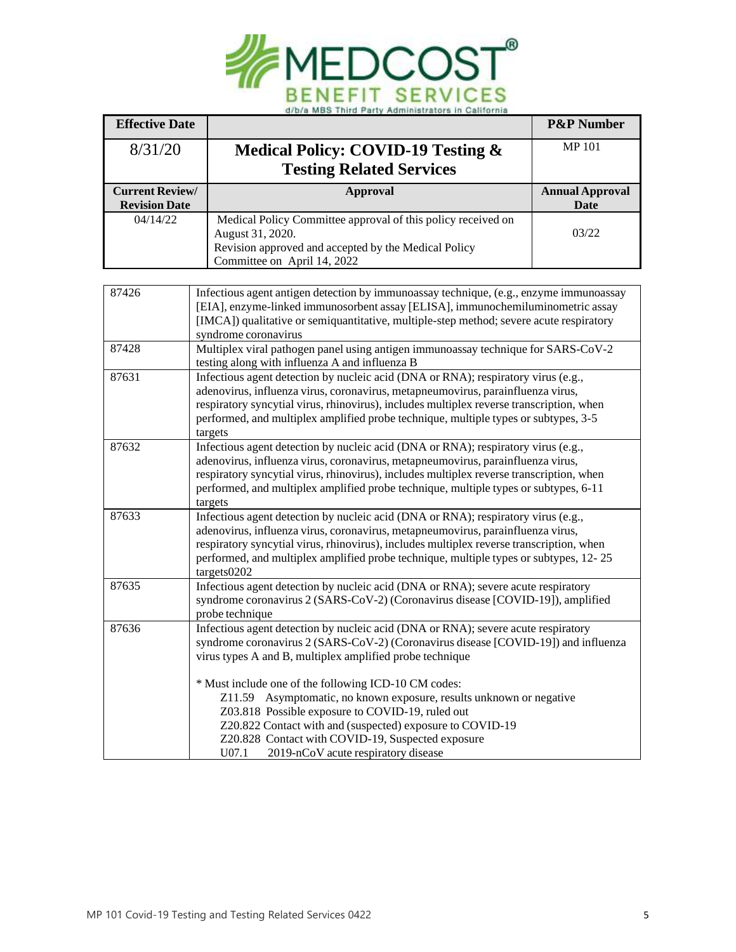

| <b>Effective Date</b>                          |                                                                                                                                                                           | <b>P&amp;P Number</b>  |
|------------------------------------------------|---------------------------------------------------------------------------------------------------------------------------------------------------------------------------|------------------------|
| 8/31/20                                        | Medical Policy: COVID-19 Testing &                                                                                                                                        | <b>MP101</b>           |
|                                                | <b>Testing Related Services</b>                                                                                                                                           |                        |
| <b>Current Review/</b><br><b>Revision Date</b> | <b>Approval</b>                                                                                                                                                           | <b>Annual Approval</b> |
| 04/14/22                                       | Medical Policy Committee approval of this policy received on                                                                                                              | Date                   |
|                                                | August 31, 2020.                                                                                                                                                          | 03/22                  |
|                                                | Revision approved and accepted by the Medical Policy                                                                                                                      |                        |
|                                                | Committee on April 14, 2022                                                                                                                                               |                        |
| 87426                                          |                                                                                                                                                                           |                        |
|                                                | Infectious agent antigen detection by immunoassay technique, (e.g., enzyme immunoassay<br>[EIA], enzyme-linked immunosorbent assay [ELISA], immunochemiluminometric assay |                        |
|                                                | [IMCA]) qualitative or semiquantitative, multiple-step method; severe acute respiratory                                                                                   |                        |
|                                                | syndrome coronavirus                                                                                                                                                      |                        |
| 87428                                          | Multiplex viral pathogen panel using antigen immunoassay technique for SARS-CoV-2                                                                                         |                        |
| 87631                                          | testing along with influenza A and influenza B<br>Infectious agent detection by nucleic acid (DNA or RNA); respiratory virus (e.g.,                                       |                        |
|                                                | adenovirus, influenza virus, coronavirus, metapneumovirus, parainfluenza virus,                                                                                           |                        |
|                                                | respiratory syncytial virus, rhinovirus), includes multiplex reverse transcription, when                                                                                  |                        |
|                                                | performed, and multiplex amplified probe technique, multiple types or subtypes, 3-5                                                                                       |                        |
|                                                | targets                                                                                                                                                                   |                        |
| 87632                                          | Infectious agent detection by nucleic acid (DNA or RNA); respiratory virus (e.g.,                                                                                         |                        |
|                                                | adenovirus, influenza virus, coronavirus, metapneumovirus, parainfluenza virus,                                                                                           |                        |
|                                                | respiratory syncytial virus, rhinovirus), includes multiplex reverse transcription, when                                                                                  |                        |
|                                                | performed, and multiplex amplified probe technique, multiple types or subtypes, 6-11                                                                                      |                        |
| 87633                                          | targets<br>Infectious agent detection by nucleic acid (DNA or RNA); respiratory virus (e.g.,                                                                              |                        |
|                                                | adenovirus, influenza virus, coronavirus, metapneumovirus, parainfluenza virus,                                                                                           |                        |
|                                                | respiratory syncytial virus, rhinovirus), includes multiplex reverse transcription, when                                                                                  |                        |
|                                                | performed, and multiplex amplified probe technique, multiple types or subtypes, 12-25                                                                                     |                        |
|                                                | targets0202                                                                                                                                                               |                        |
| 87635                                          | Infectious agent detection by nucleic acid (DNA or RNA); severe acute respiratory                                                                                         |                        |
|                                                | syndrome coronavirus 2 (SARS-CoV-2) (Coronavirus disease [COVID-19]), amplified                                                                                           |                        |
|                                                | probe technique                                                                                                                                                           |                        |
| 87636                                          | Infectious agent detection by nucleic acid (DNA or RNA); severe acute respiratory                                                                                         |                        |
|                                                | syndrome coronavirus 2 (SARS-CoV-2) (Coronavirus disease [COVID-19]) and influenza                                                                                        |                        |
|                                                | virus types A and B, multiplex amplified probe technique                                                                                                                  |                        |
|                                                | * Must include one of the following ICD-10 CM codes:                                                                                                                      |                        |
|                                                | Z11.59 Asymptomatic, no known exposure, results unknown or negative                                                                                                       |                        |
|                                                | Z03.818 Possible exposure to COVID-19, ruled out                                                                                                                          |                        |
|                                                | Z20.822 Contact with and (suspected) exposure to COVID-19                                                                                                                 |                        |
|                                                | Z20.828 Contact with COVID-19, Suspected exposure                                                                                                                         |                        |
|                                                | U07.1<br>2019-nCoV acute respiratory disease                                                                                                                              |                        |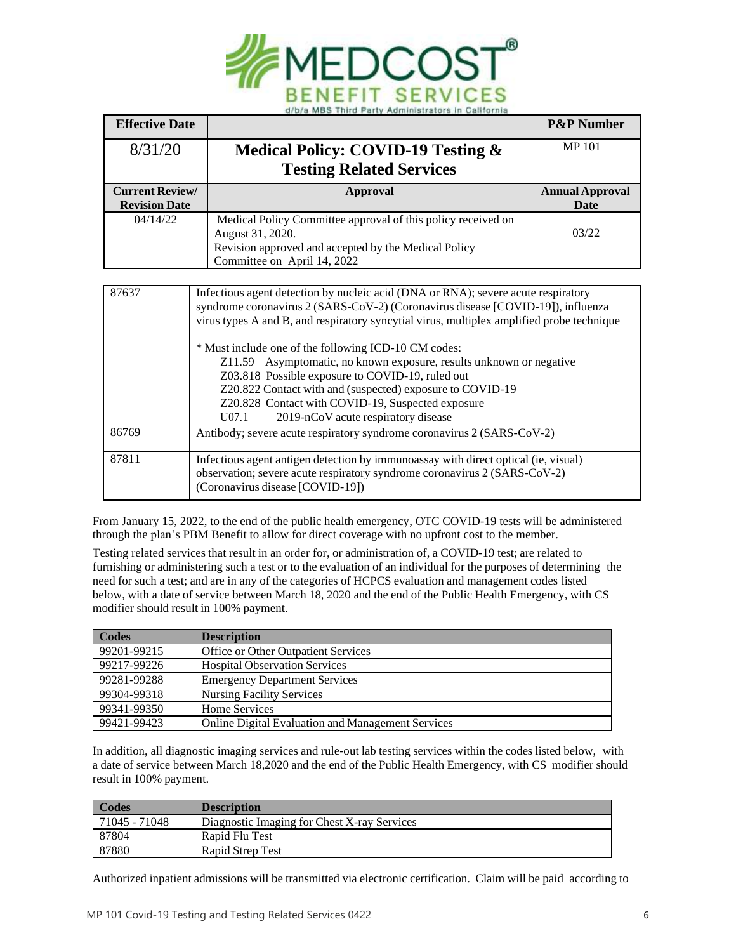

| <b>Effective Date</b>                          |                                                                                                                                                                                                                                                                                                                                                                                                                                                                                                                                                                                                                                      | <b>P&amp;P Number</b>          |
|------------------------------------------------|--------------------------------------------------------------------------------------------------------------------------------------------------------------------------------------------------------------------------------------------------------------------------------------------------------------------------------------------------------------------------------------------------------------------------------------------------------------------------------------------------------------------------------------------------------------------------------------------------------------------------------------|--------------------------------|
| 8/31/20                                        | Medical Policy: COVID-19 Testing &                                                                                                                                                                                                                                                                                                                                                                                                                                                                                                                                                                                                   | <b>MP101</b>                   |
|                                                | <b>Testing Related Services</b>                                                                                                                                                                                                                                                                                                                                                                                                                                                                                                                                                                                                      |                                |
| <b>Current Review/</b><br><b>Revision Date</b> | <b>Approval</b>                                                                                                                                                                                                                                                                                                                                                                                                                                                                                                                                                                                                                      | <b>Annual Approval</b><br>Date |
| 04/14/22                                       | Medical Policy Committee approval of this policy received on<br>August 31, 2020.<br>Revision approved and accepted by the Medical Policy<br>Committee on April 14, 2022                                                                                                                                                                                                                                                                                                                                                                                                                                                              | 03/22                          |
|                                                |                                                                                                                                                                                                                                                                                                                                                                                                                                                                                                                                                                                                                                      |                                |
| 87637                                          | Infectious agent detection by nucleic acid (DNA or RNA); severe acute respiratory<br>syndrome coronavirus 2 (SARS-CoV-2) (Coronavirus disease [COVID-19]), influenza<br>virus types A and B, and respiratory syncytial virus, multiplex amplified probe technique<br>* Must include one of the following ICD-10 CM codes:<br>Z11.59 Asymptomatic, no known exposure, results unknown or negative<br>Z03.818 Possible exposure to COVID-19, ruled out<br>Z20.822 Contact with and (suspected) exposure to COVID-19<br>Z20.828 Contact with COVID-19, Suspected exposure<br>$U$ <sub>07.1</sub><br>2019-nCoV acute respiratory disease |                                |
| 86769                                          | Antibody; severe acute respiratory syndrome coronavirus 2 (SARS-CoV-2)                                                                                                                                                                                                                                                                                                                                                                                                                                                                                                                                                               |                                |
| 87811                                          | Infectious agent antigen detection by immunoassay with direct optical (ie, visual)<br>observation; severe acute respiratory syndrome coronavirus 2 (SARS-CoV-2)<br>(Coronavirus disease [COVID-19])                                                                                                                                                                                                                                                                                                                                                                                                                                  |                                |

From January 15, 2022, to the end of the public health emergency, OTC COVID-19 tests will be administered through the plan's PBM Benefit to allow for direct coverage with no upfront cost to the member.

Testing related services that result in an order for, or administration of, a COVID-19 test; are related to furnishing or administering such a test or to the evaluation of an individual for the purposes of determining the need for such a test; and are in any of the categories of HCPCS evaluation and management codes listed below, with a date of service between March 18, 2020 and the end of the Public Health Emergency, with CS modifier should result in 100% payment.

| Codes       | <b>Description</b>                                       |
|-------------|----------------------------------------------------------|
| 99201-99215 | <b>Office or Other Outpatient Services</b>               |
| 99217-99226 | <b>Hospital Observation Services</b>                     |
| 99281-99288 | <b>Emergency Department Services</b>                     |
| 99304-99318 | <b>Nursing Facility Services</b>                         |
| 99341-99350 | Home Services                                            |
| 99421-99423 | <b>Online Digital Evaluation and Management Services</b> |

In addition, all diagnostic imaging services and rule-out lab testing services within the codes listed below, with a date of service between March 18,2020 and the end of the Public Health Emergency, with CS modifier should result in 100% payment.

| Codes         | <b>Description</b>                          |
|---------------|---------------------------------------------|
| 71045 - 71048 | Diagnostic Imaging for Chest X-ray Services |
| 87804         | Rapid Flu Test                              |
| 87880         | Rapid Strep Test                            |

Authorized inpatient admissions will be transmitted via electronic certification. Claim will be paid according to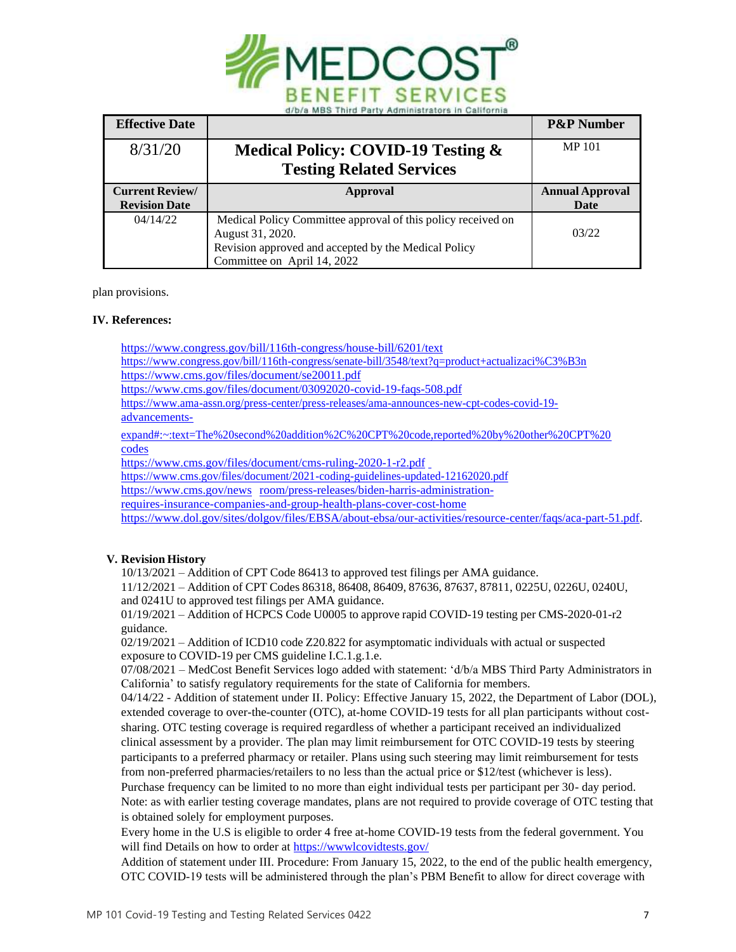

| <b>Effective Date</b>  |                                                              | <b>P&amp;P Number</b>  |
|------------------------|--------------------------------------------------------------|------------------------|
| 8/31/20                | <b>Medical Policy: COVID-19 Testing &amp;</b>                | <b>MP101</b>           |
|                        | <b>Testing Related Services</b>                              |                        |
| <b>Current Review/</b> | Approval                                                     | <b>Annual Approval</b> |
| <b>Revision Date</b>   |                                                              | Date                   |
| 04/14/22               | Medical Policy Committee approval of this policy received on |                        |
|                        | August 31, 2020.                                             | 03/22                  |
|                        | Revision approved and accepted by the Medical Policy         |                        |
|                        | Committee on April 14, 2022                                  |                        |

plan provisions.

#### **IV. References:**

<https://www.congress.gov/bill/116th-congress/house-bill/6201/text>

[https://www.congress.gov/bill/116th-congress/senate-bill/3548/text?q=product+actualizaci%C3%B3n](https://www.congress.gov/bill/116th-congress/senate-bill/3548/text?q=product%2Bactualizaci%C3%B3n)

<https://www.cms.gov/files/document/se20011.pdf>

<https://www.cms.gov/files/document/03092020-covid-19-faqs-508.pdf>

[https://www.ama-assn.org/press-center/press-releases/ama-announces-new-cpt-codes-covid-19-](https://www.ama-assn.org/press-center/press-releases/ama-announces-new-cpt-codes-covid-19-advancements-expand#%3A%7E%3Atext%3DThe%20second%20addition%2C%20CPT%20code%2Creported%20by%20other%20CPT%20codes)

[advancements-](https://www.ama-assn.org/press-center/press-releases/ama-announces-new-cpt-codes-covid-19-advancements-expand#%3A%7E%3Atext%3DThe%20second%20addition%2C%20CPT%20code%2Creported%20by%20other%20CPT%20codes)

[expand#:~:text=The%20second%20addition%2C%20CPT%20code,reported%20by%20other%20CPT%20](https://www.ama-assn.org/press-center/press-releases/ama-announces-new-cpt-codes-covid-19-advancements-expand#%3A%7E%3Atext%3DThe%20second%20addition%2C%20CPT%20code%2Creported%20by%20other%20CPT%20codes) [codes](https://www.ama-assn.org/press-center/press-releases/ama-announces-new-cpt-codes-covid-19-advancements-expand#%3A%7E%3Atext%3DThe%20second%20addition%2C%20CPT%20code%2Creported%20by%20other%20CPT%20codes)

<https://www.cms.gov/files/document/cms-ruling-2020-1-r2.pdf>

<https://www.cms.gov/files/document/2021-coding-guidelines-updated-12162020.pdf>

[https://www.cms.gov/news](https://www.cms.gov/newsroom/press-releases/biden-harris-administration-requires-insurance-companies-and-group-health-plans-cover-cost-home) room/press-releases/biden-harris-administration-

requires-insurance-companies-and-group-health-plans-cover-cost-home

[https://www.dol.gov/sites/dolgov/files/EBSA/about-ebsa/our-activities/resource-center/faqs/aca-part-51.pdf.](https://nam10.safelinks.protection.outlook.com/?url=https%3A%2F%2Fwww.dol.gov%2Fsites%2Fdolgov%2Ffiles%2FEBSA%2Fabout-ebsa%2Four-activities%2Fresource-center%2Ffaqs%2Faca-part-51.pdf&data=04%7C01%7Crpulliam%40medcost.com%7C1aa98585cdc041edf19f08d9d5581a2d%7C5c375e18ec944019b068a41aec1280f4%7C0%7C0%7C637775396638336802%7CUnknown%7CTWFpbGZsb3d8eyJWIjoiMC4wLjAwMDAiLCJQIjoiV2luMzIiLCJBTiI6Ik1haWwiLCJXVCI6Mn0%3D%7C3000&sdata=Ywn0N99oeAxVUL1CFbZZ%2Fb%2FzMl4RtEaOM2EB3lkb%2B2A%3D&reserved=0)

## **V. Revision History**

10/13/2021 – Addition of CPT Code 86413 to approved test filings per AMA guidance.

11/12/2021 – Addition of CPT Codes 86318, 86408, 86409, 87636, 87637, 87811, 0225U, 0226U, 0240U, and 0241U to approved test filings per AMA guidance.

01/19/2021 – Addition of HCPCS Code U0005 to approve rapid COVID-19 testing per CMS-2020-01-r2 guidance.

02/19/2021 – Addition of ICD10 code Z20.822 for asymptomatic individuals with actual or suspected exposure to COVID-19 per CMS guideline I.C.1.g.1.e.

07/08/2021 – MedCost Benefit Services logo added with statement: 'd/b/a MBS Third Party Administrators in California' to satisfy regulatory requirements for the state of California for members.

04/14/22 - Addition of statement under II. Policy: Effective January 15, 2022, the Department of Labor (DOL), extended coverage to over-the-counter (OTC), at-home COVID-19 tests for all plan participants without costsharing. OTC testing coverage is required regardless of whether a participant received an individualized clinical assessment by a provider. The plan may limit reimbursement for OTC COVID-19 tests by steering participants to a preferred pharmacy or retailer. Plans using such steering may limit reimbursement for tests from non-preferred pharmacies/retailers to no less than the actual price or \$12/test (whichever is less). Purchase frequency can be limited to no more than eight individual tests per participant per 30- day period. Note: as with earlier testing coverage mandates, plans are not required to provide coverage of OTC testing that

is obtained solely for employment purposes.

Every home in the U.S is eligible to order 4 free at-home COVID-19 tests from the federal government. You will find Details on how to order at https://www.lcovidtests.gov/

Addition of statement under III. Procedure: From January 15, 2022, to the end of the public health emergency, OTC COVID-19 tests will be administered through the plan's PBM Benefit to allow for direct coverage with